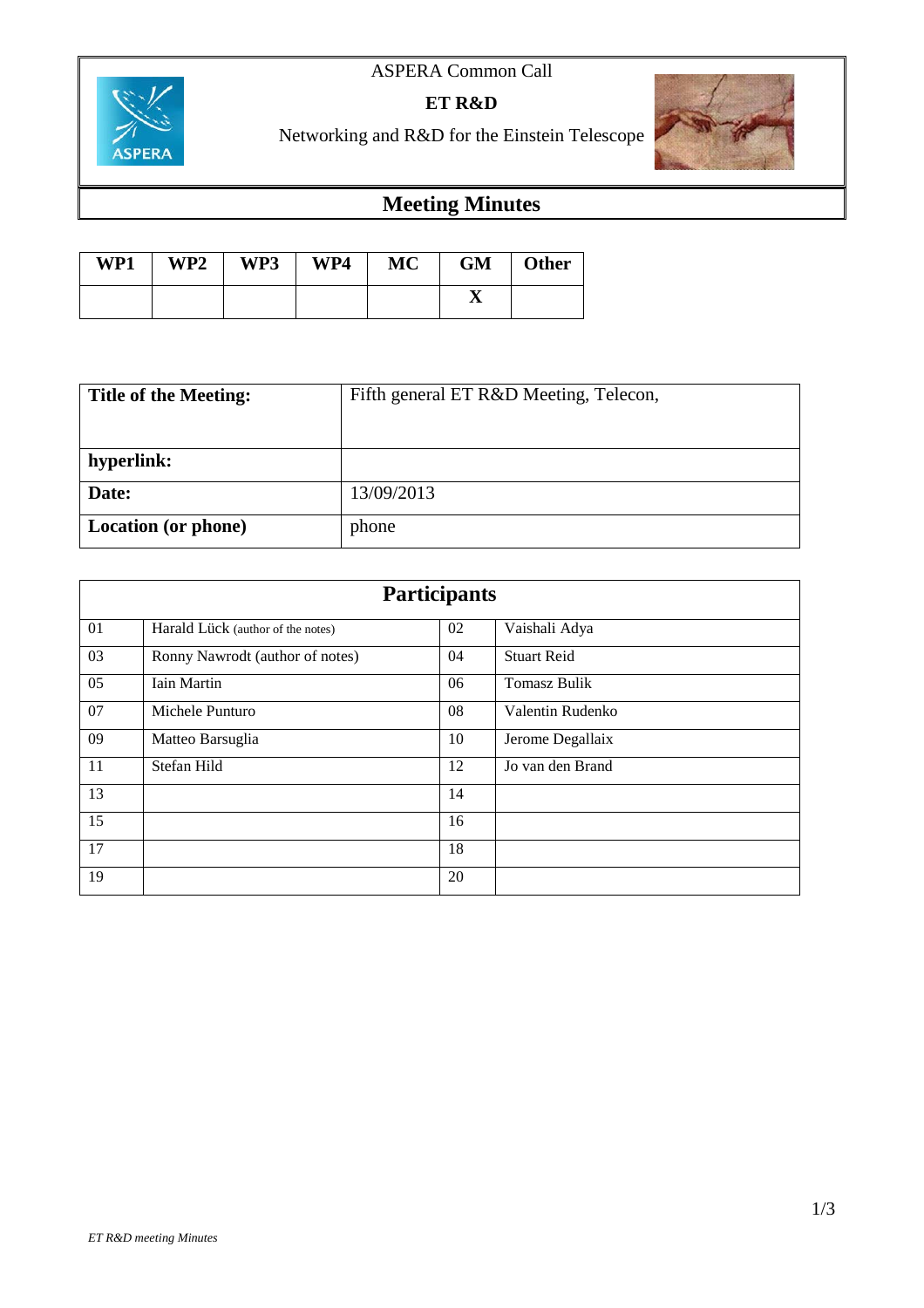# ASPERA Common Call



**ET R&D**

Networking and R&D for the Einstein Telescope

# **Meeting Minutes**

| WP1 | WP2 | WP3 | WP4 | <b>MC</b> | GM | <b>Other</b> |
|-----|-----|-----|-----|-----------|----|--------------|
|     |     |     |     |           |    |              |

| <b>Title of the Meeting:</b> | Fifth general ET R&D Meeting, Telecon, |  |  |
|------------------------------|----------------------------------------|--|--|
|                              |                                        |  |  |
| hyperlink:                   |                                        |  |  |
| Date:                        | 13/09/2013                             |  |  |
| <b>Location</b> (or phone)   | phone                                  |  |  |

| <b>Participants</b> |                                   |    |                     |  |  |
|---------------------|-----------------------------------|----|---------------------|--|--|
| 01                  | Harald Lück (author of the notes) | 02 | Vaishali Adya       |  |  |
| 03                  | Ronny Nawrodt (author of notes)   | 04 | <b>Stuart Reid</b>  |  |  |
| 05                  | Iain Martin                       | 06 | <b>Tomasz Bulik</b> |  |  |
| 07                  | Michele Punturo                   | 08 | Valentin Rudenko    |  |  |
| 09                  | Matteo Barsuglia                  | 10 | Jerome Degallaix    |  |  |
| 11                  | Stefan Hild                       | 12 | Jo van den Brand    |  |  |
| 13                  |                                   | 14 |                     |  |  |
| 15                  |                                   | 16 |                     |  |  |
| 17                  |                                   | 18 |                     |  |  |
| 19                  |                                   | 20 |                     |  |  |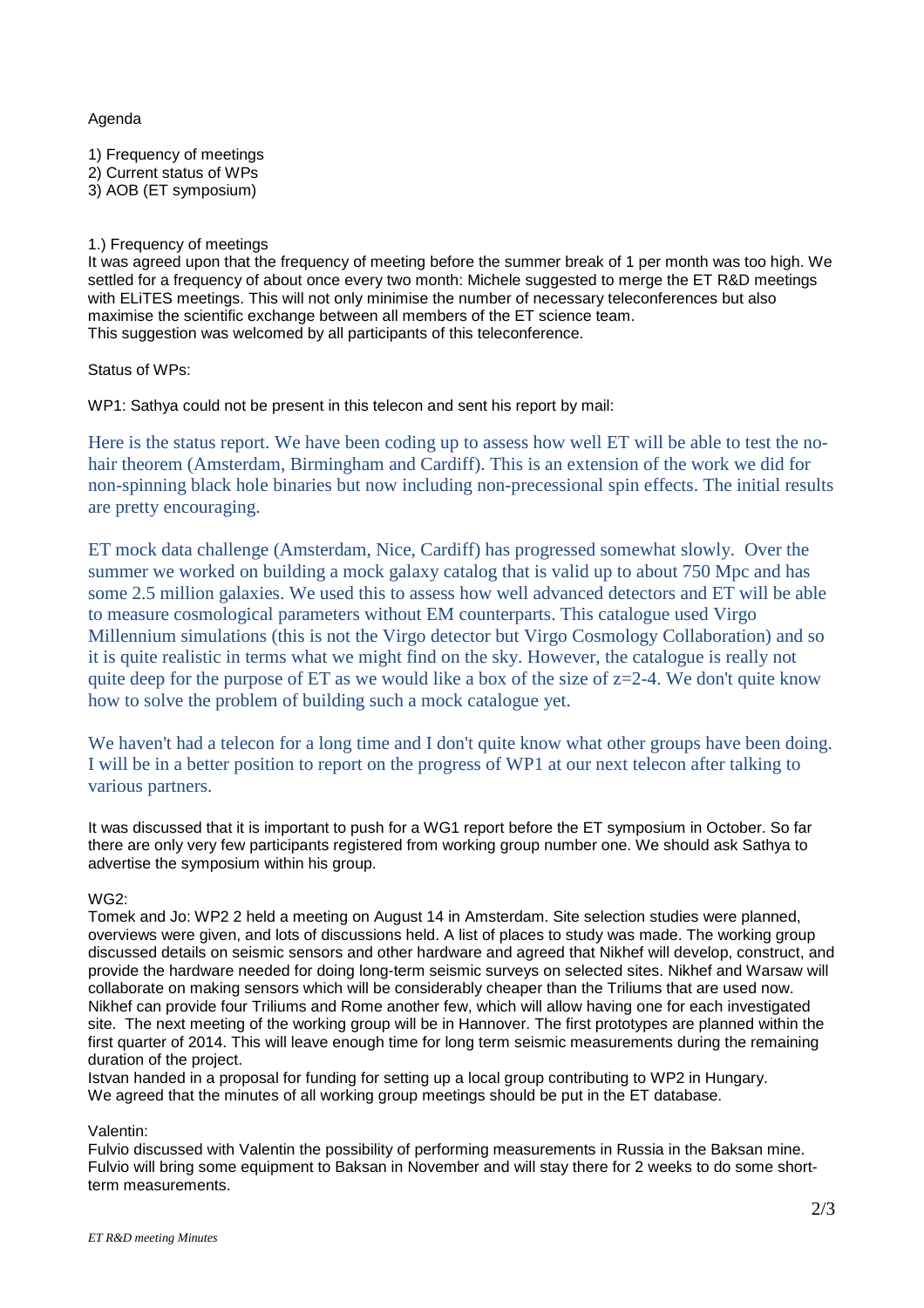### Agenda

1) Frequency of meetings 2) Current status of WPs 3) AOB (ET symposium)

## 1.) Frequency of meetings

It was agreed upon that the frequency of meeting before the summer break of 1 per month was too high. We settled for a frequency of about once every two month: Michele suggested to merge the ET R&D meetings with ELITES meetings. This will not only minimise the number of necessary teleconferences but also maximise the scientific exchange between all members of the ET science team. This suggestion was welcomed by all participants of this teleconference.

Status of WPs:

WP1: Sathya could not be present in this telecon and sent his report by mail:

Here is the status report. We have been coding up to assess how well ET will be able to test the nohair theorem (Amsterdam, Birmingham and Cardiff). This is an extension of the work we did for non-spinning black hole binaries but now including non-precessional spin effects. The initial results are pretty encouraging.

ET mock data challenge (Amsterdam, Nice, Cardiff) has progressed somewhat slowly. Over the summer we worked on building a mock galaxy catalog that is valid up to about 750 Mpc and has some 2.5 million galaxies. We used this to assess how well advanced detectors and ET will be able to measure cosmological parameters without EM counterparts. This catalogue used Virgo Millennium simulations (this is not the Virgo detector but Virgo Cosmology Collaboration) and so it is quite realistic in terms what we might find on the sky. However, the catalogue is really not quite deep for the purpose of ET as we would like a box of the size of  $z=2-4$ . We don't quite know how to solve the problem of building such a mock catalogue yet.

We haven't had a telecon for a long time and I don't quite know what other groups have been doing. I will be in a better position to report on the progress of WP1 at our next telecon after talking to various partners.

It was discussed that it is important to push for a WG1 report before the ET symposium in October. So far there are only very few participants registered from working group number one. We should ask Sathya to advertise the symposium within his group.

#### WG2:

Tomek and Jo: WP2 2 held a meeting on August 14 in Amsterdam. Site selection studies were planned, overviews were given, and lots of discussions held. A list of places to study was made. The working group discussed details on seismic sensors and other hardware and agreed that Nikhef will develop, construct, and provide the hardware needed for doing long-term seismic surveys on selected sites. Nikhef and Warsaw will collaborate on making sensors which will be considerably cheaper than the Triliums that are used now. Nikhef can provide four Triliums and Rome another few, which will allow having one for each investigated site. The next meeting of the working group will be in Hannover. The first prototypes are planned within the first quarter of 2014. This will leave enough time for long term seismic measurements during the remaining duration of the project.

Istvan handed in a proposal for funding for setting up a local group contributing to WP2 in Hungary. We agreed that the minutes of all working group meetings should be put in the ET database.

#### Valentin:

Fulvio discussed with Valentin the possibility of performing measurements in Russia in the Baksan mine. Fulvio will bring some equipment to Baksan in November and will stay there for 2 weeks to do some shortterm measurements.